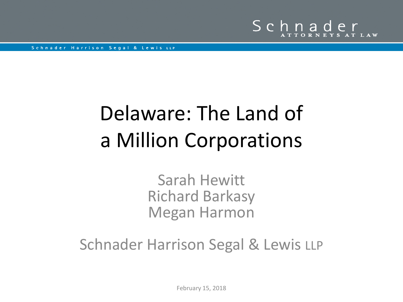

## Delaware: The Land of a Million Corporations

Sarah Hewitt Richard Barkasy Megan Harmon

Schnader Harrison Segal & Lewis LLP

February 15, 2018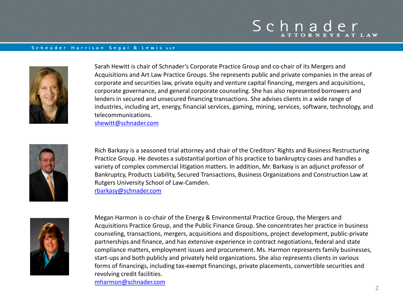## Schnader

#### Schnader Harrison Segal & Lewis LLP



Sarah Hewitt is chair of Schnader's Corporate Practice Group and co-chair of its Mergers and Acquisitions and Art Law Practice Groups. She represents public and private companies in the areas of corporate and securities law, private equity and venture capital financing, mergers and acquisitions, corporate governance, and general corporate counseling. She has also represented borrowers and lenders in secured and unsecured financing transactions. She advises clients in a wide range of industries, including art, energy, financial services, gaming, mining, services, software, technology, and telecommunications.

[shewitt@schnader.com](mailto:shewitt@schnader.com)



Rich Barkasy is a seasoned trial attorney and chair of the Creditors' Rights and Business Restructuring Practice Group. He devotes a substantial portion of his practice to bankruptcy cases and handles a variety of complex commercial litigation matters. In addition, Mr. Barkasy is an adjunct professor of Bankruptcy, Products Liability, Secured Transactions, Business Organizations and Construction Law at Rutgers University School of Law-Camden. [rbarkasy@schnader.com](mailto:mharmon@schnader.com)



Megan Harmon is co-chair of the Energy & Environmental Practice Group, the Mergers and Acquisitions Practice Group, and the Public Finance Group. She concentrates her practice in business counseling, transactions, mergers, acquisitions and dispositions, project development, public-private partnerships and finance, and has extensive experience in contract negotiations, federal and state compliance matters, employment issues and procurement. Ms. Harmon represents family businesses, start-ups and both publicly and privately held organizations. She also represents clients in various forms of financings, including tax-exempt financings, private placements, convertible securities and revolving credit facilities.

[mharmon@schnader.com](mailto:mharmon@schnader.com)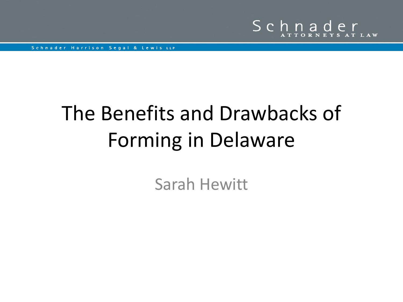

## The Benefits and Drawbacks of Forming in Delaware

Sarah Hewitt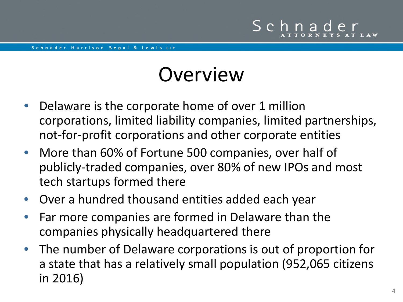- Delaware is the corporate home of over 1 million corporations, limited liability companies, limited partnerships, not-for-profit corporations and other corporate entities
- More than 60% of Fortune 500 companies, over half of publicly-traded companies, over 80% of new IPOs and most tech startups formed there
- Over a hundred thousand entities added each year
- Far more companies are formed in Delaware than the companies physically headquartered there
- The number of Delaware corporations is out of proportion for a state that has a relatively small population (952,065 citizens in 2016)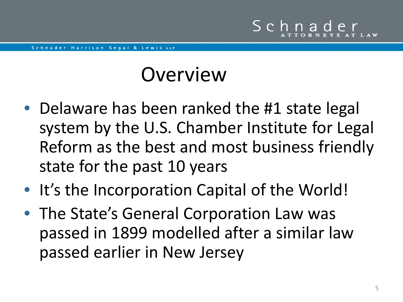- Delaware has been ranked the #1 state legal system by the U.S. Chamber Institute for Legal Reform as the best and most business friendly state for the past 10 years
- It's the Incorporation Capital of the World!
- The State's General Corporation Law was passed in 1899 modelled after a similar law passed earlier in New Jersey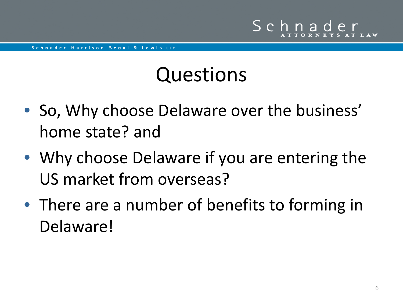## Questions

- So, Why choose Delaware over the business' home state? and
- Why choose Delaware if you are entering the US market from overseas?
- There are a number of benefits to forming in Delaware!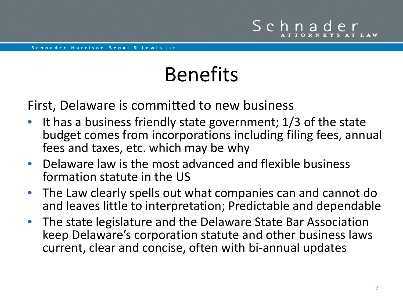### First, Delaware is committed to new business

- It has a business friendly state government; 1/3 of the state budget comes from incorporations including filing fees, annual fees and taxes, etc. which may be why
- Delaware law is the most advanced and flexible business formation statute in the US
- The Law clearly spells out what companies can and cannot do and leaves little to interpretation; Predictable and dependable
- The state legislature and the Delaware State Bar Association keep Delaware's corporation statute and other business laws current, clear and concise, often with bi-annual updates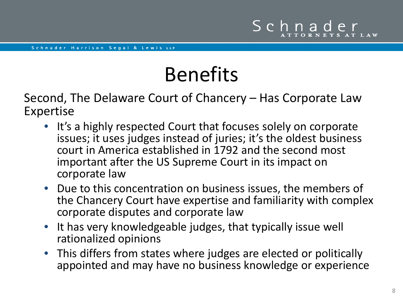Second, The Delaware Court of Chancery – Has Corporate Law Expertise

- It's a highly respected Court that focuses solely on corporate issues; it uses judges instead of juries; it's the oldest business court in America established in 1792 and the second most important after the US Supreme Court in its impact on corporate law
- Due to this concentration on business issues, the members of the Chancery Court have expertise and familiarity with complex corporate disputes and corporate law
- It has very knowledgeable judges, that typically issue well rationalized opinions
- This differs from states where judges are elected or politically appointed and may have no business knowledge or experience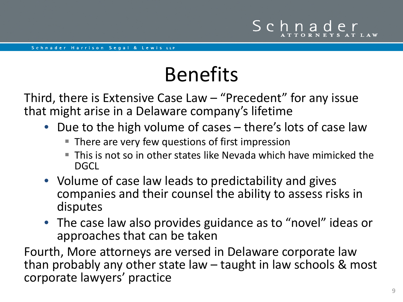Third, there is Extensive Case Law – "Precedent" for any issue that might arise in a Delaware company's lifetime

- Due to the high volume of cases there's lots of case law
	- There are very few questions of first impression
	- This is not so in other states like Nevada which have mimicked the DGCL
- Volume of case law leads to predictability and gives companies and their counsel the ability to assess risks in disputes
- The case law also provides guidance as to "novel" ideas or approaches that can be taken

Fourth, More attorneys are versed in Delaware corporate law than probably any other state law – taught in law schools & most corporate lawyers' practice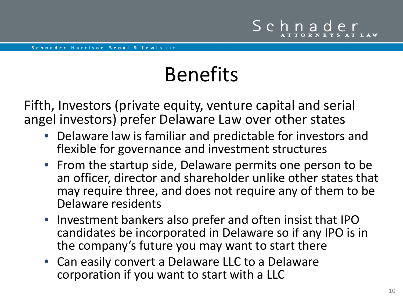Fifth, Investors (private equity, venture capital and serial angel investors) prefer Delaware Law over other states

- Delaware law is familiar and predictable for investors and flexible for governance and investment structures
- From the startup side, Delaware permits one person to be an officer, director and shareholder unlike other states that may require three, and does not require any of them to be Delaware residents
- Investment bankers also prefer and often insist that IPO candidates be incorporated in Delaware so if any IPO is in the company's future you may want to start there
- Can easily convert a Delaware LLC to a Delaware corporation if you want to start with a LLC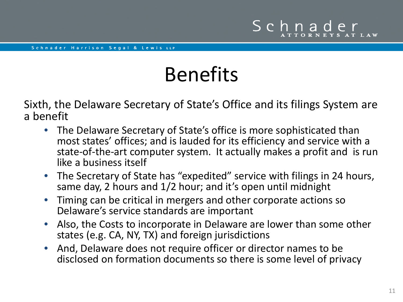Sixth, the Delaware Secretary of State's Office and its filings System are a benefit

- The Delaware Secretary of State's office is more sophisticated than most states' offices; and is lauded for its efficiency and service with a state-of-the-art computer system. It actually makes a profit and is run like a business itself
- The Secretary of State has "expedited" service with filings in 24 hours, same day, 2 hours and 1/2 hour; and it's open until midnight
- Timing can be critical in mergers and other corporate actions so Delaware's service standards are important
- Also, the Costs to incorporate in Delaware are lower than some other states (e.g. CA, NY, TX) and foreign jurisdictions
- And, Delaware does not require officer or director names to be disclosed on formation documents so there is some level of privacy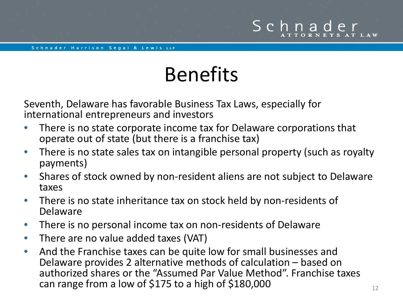Seventh, Delaware has favorable Business Tax Laws, especially for international entrepreneurs and investors

- There is no state corporate income tax for Delaware corporations that operate out of state (but there is a franchise tax)
- There is no state sales tax on intangible personal property (such as royalty payments)
- Shares of stock owned by non-resident aliens are not subject to Delaware taxes
- There is no state inheritance tax on stock held by non-residents of Delaware
- There is no personal income tax on non-residents of Delaware
- There are no value added taxes (VAT)
- And the Franchise taxes can be quite low for small businesses and Delaware provides 2 alternative methods of calculation – based on authorized shares or the "Assumed Par Value Method". Franchise taxes can range from a low of \$175 to a high of \$180,000  $\frac{12}{12}$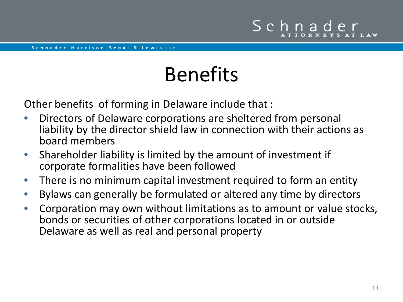Other benefits of forming in Delaware include that :

- Directors of Delaware corporations are sheltered from personal liability by the director shield law in connection with their actions as board members
- Shareholder liability is limited by the amount of investment if corporate formalities have been followed
- There is no minimum capital investment required to form an entity
- Bylaws can generally be formulated or altered any time by directors
- Corporation may own without limitations as to amount or value stocks, bonds or securities of other corporations located in or outside Delaware as well as real and personal property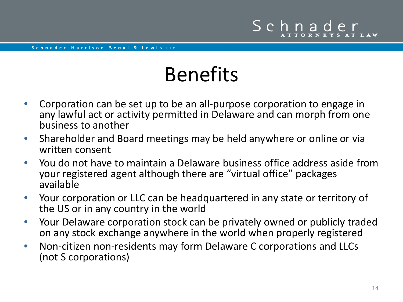- Corporation can be set up to be an all-purpose corporation to engage in any lawful act or activity permitted in Delaware and can morph from one business to another
- Shareholder and Board meetings may be held anywhere or online or via written consent
- You do not have to maintain a Delaware business office address aside from your registered agent although there are "virtual office" packages available
- Your corporation or LLC can be headquartered in any state or territory of the US or in any country in the world
- Your Delaware corporation stock can be privately owned or publicly traded on any stock exchange anywhere in the world when properly registered
- Non-citizen non-residents may form Delaware C corporations and LLCs (not S corporations)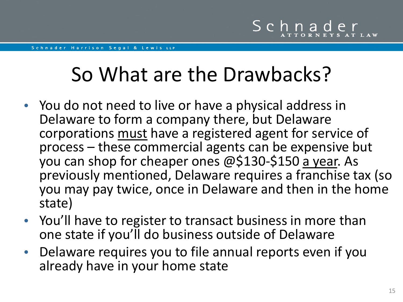## So What are the Drawbacks?

- You do not need to live or have a physical address in Delaware to form a company there, but Delaware corporations must have a registered agent for service of process – these commercial agents can be expensive but you can shop for cheaper ones @\$130-\$150 a year. As previously mentioned, Delaware requires a franchise tax (so you may pay twice, once in Delaware and then in the home state)
- You'll have to register to transact business in more than one state if you'll do business outside of Delaware
- Delaware requires you to file annual reports even if you already have in your home state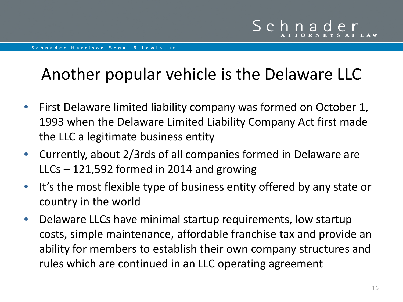### Another popular vehicle is the Delaware LLC

- First Delaware limited liability company was formed on October 1, 1993 when the Delaware Limited Liability Company Act first made the LLC a legitimate business entity
- Currently, about 2/3rds of all companies formed in Delaware are LLCs – 121,592 formed in 2014 and growing
- It's the most flexible type of business entity offered by any state or country in the world
- Delaware LLCs have minimal startup requirements, low startup costs, simple maintenance, affordable franchise tax and provide an ability for members to establish their own company structures and rules which are continued in an LLC operating agreement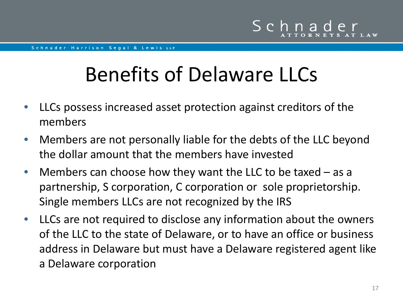## Benefits of Delaware LLCs

- LLCs possess increased asset protection against creditors of the members
- Members are not personally liable for the debts of the LLC beyond the dollar amount that the members have invested
- Members can choose how they want the LLC to be taxed as a partnership, S corporation, C corporation or sole proprietorship. Single members LLCs are not recognized by the IRS
- LLCs are not required to disclose any information about the owners of the LLC to the state of Delaware, or to have an office or business address in Delaware but must have a Delaware registered agent like a Delaware corporation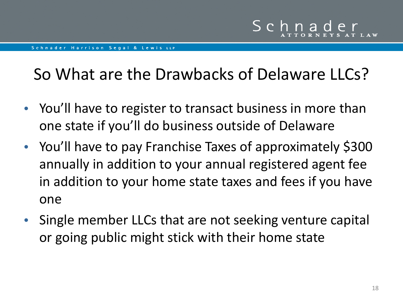### So What are the Drawbacks of Delaware LLCs?

- You'll have to register to transact business in more than one state if you'll do business outside of Delaware
- You'll have to pay Franchise Taxes of approximately \$300 annually in addition to your annual registered agent fee in addition to your home state taxes and fees if you have one
- Single member LLCs that are not seeking venture capital or going public might stick with their home state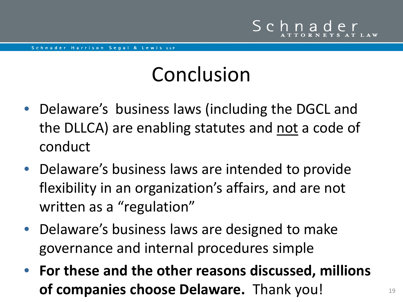## Conclusion

- Delaware's business laws (including the DGCL and the DLLCA) are enabling statutes and not a code of conduct
- Delaware's business laws are intended to provide flexibility in an organization's affairs, and are not written as a "regulation"
- Delaware's business laws are designed to make governance and internal procedures simple
- **For these and the other reasons discussed, millions of companies choose Delaware.** Thank you!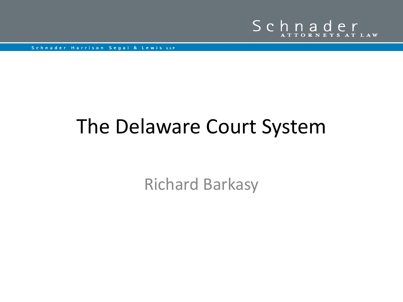

## The Delaware Court System

Richard Barkasy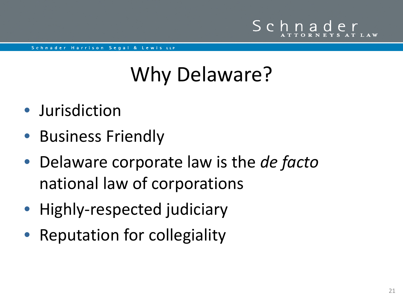# Why Delaware?

- Jurisdiction
- Business Friendly
- Delaware corporate law is the *de facto*  national law of corporations
- Highly-respected judiciary
- Reputation for collegiality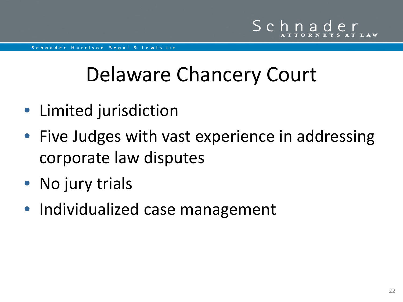## Delaware Chancery Court

- Limited jurisdiction
- Five Judges with vast experience in addressing corporate law disputes
- No jury trials
- Individualized case management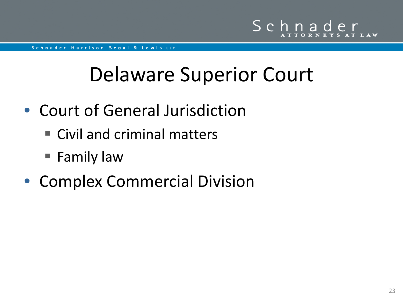## Delaware Superior Court

- Court of General Jurisdiction
	- Civil and criminal matters
	- Family law
- Complex Commercial Division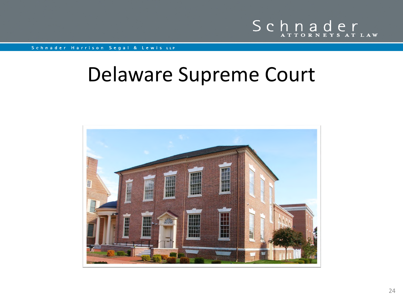

### Delaware Supreme Court

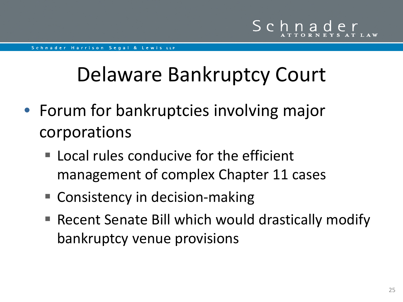## Delaware Bankruptcy Court

- Forum for bankruptcies involving major corporations
	- Local rules conducive for the efficient management of complex Chapter 11 cases
	- Consistency in decision-making
	- Recent Senate Bill which would drastically modify bankruptcy venue provisions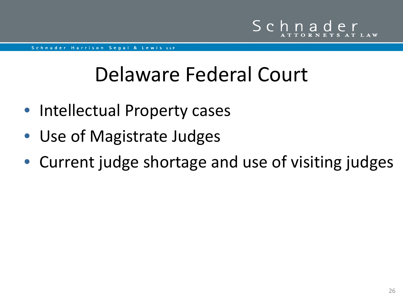## Delaware Federal Court

- Intellectual Property cases
- Use of Magistrate Judges
- Current judge shortage and use of visiting judges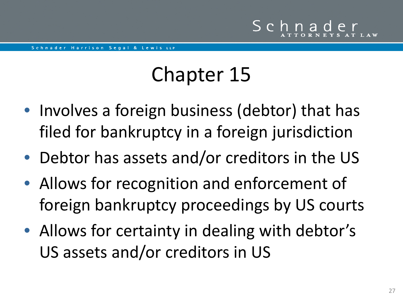## Chapter 15

- Involves a foreign business (debtor) that has filed for bankruptcy in a foreign jurisdiction
- Debtor has assets and/or creditors in the US
- Allows for recognition and enforcement of foreign bankruptcy proceedings by US courts
- Allows for certainty in dealing with debtor's US assets and/or creditors in US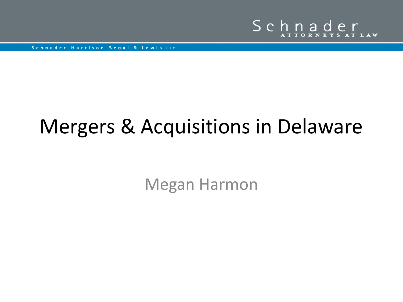

## Mergers & Acquisitions in Delaware

Megan Harmon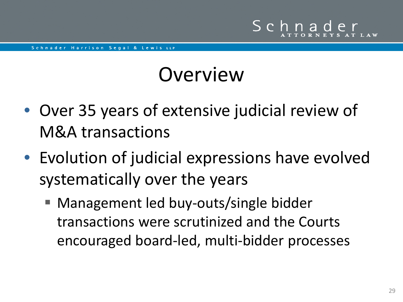- Over 35 years of extensive judicial review of M&A transactions
- Evolution of judicial expressions have evolved systematically over the years
	- Management led buy-outs/single bidder transactions were scrutinized and the Courts encouraged board-led, multi-bidder processes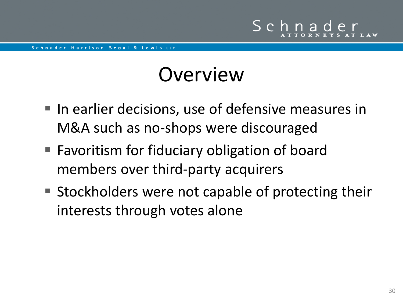- In earlier decisions, use of defensive measures in M&A such as no-shops were discouraged
- Favoritism for fiduciary obligation of board members over third-party acquirers
- Stockholders were not capable of protecting their interests through votes alone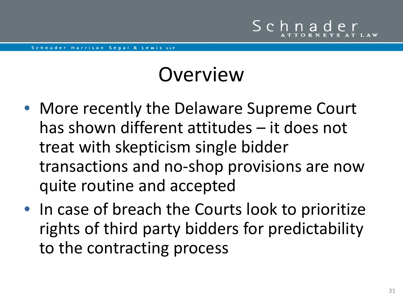- More recently the Delaware Supreme Court has shown different attitudes – it does not treat with skepticism single bidder transactions and no-shop provisions are now quite routine and accepted
- In case of breach the Courts look to prioritize rights of third party bidders for predictability to the contracting process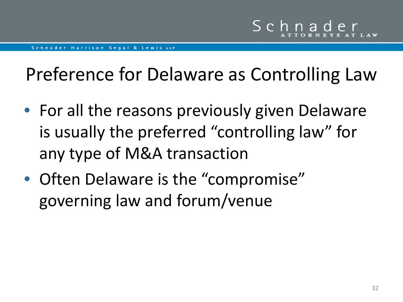### Preference for Delaware as Controlling Law

- For all the reasons previously given Delaware is usually the preferred "controlling law" for any type of M&A transaction
- Often Delaware is the "compromise" governing law and forum/venue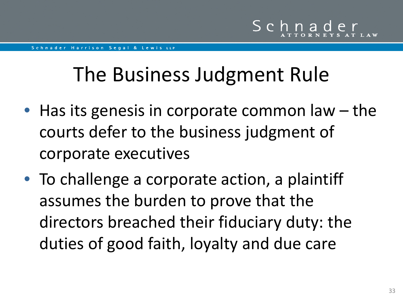## The Business Judgment Rule

- Has its genesis in corporate common law the courts defer to the business judgment of corporate executives
- To challenge a corporate action, a plaintiff assumes the burden to prove that the directors breached their fiduciary duty: the duties of good faith, loyalty and due care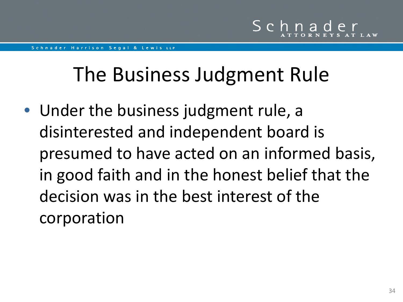## The Business Judgment Rule

• Under the business judgment rule, a disinterested and independent board is presumed to have acted on an informed basis, in good faith and in the honest belief that the decision was in the best interest of the corporation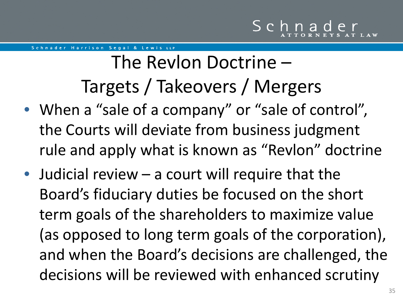## The Revlon Doctrine – Targets / Takeovers / Mergers

- When a "sale of a company" or "sale of control", the Courts will deviate from business judgment rule and apply what is known as "Revlon" doctrine
- Judicial review a court will require that the Board's fiduciary duties be focused on the short term goals of the shareholders to maximize value (as opposed to long term goals of the corporation), and when the Board's decisions are challenged, the decisions will be reviewed with enhanced scrutiny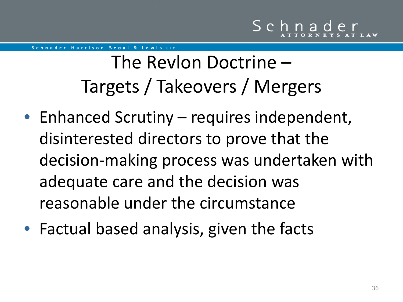## The Revlon Doctrine – Targets / Takeovers / Mergers

- Enhanced Scrutiny requires independent, disinterested directors to prove that the decision-making process was undertaken with adequate care and the decision was reasonable under the circumstance
- Factual based analysis, given the facts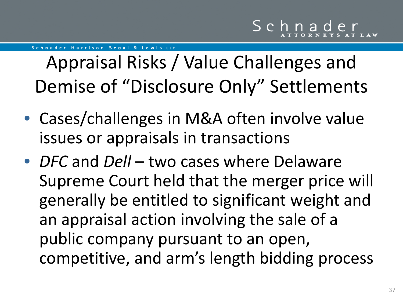Appraisal Risks / Value Challenges and Demise of "Disclosure Only" Settlements

- Cases/challenges in M&A often involve value issues or appraisals in transactions
- *DFC* and *Dell* two cases where Delaware Supreme Court held that the merger price will generally be entitled to significant weight and an appraisal action involving the sale of a public company pursuant to an open, competitive, and arm's length bidding process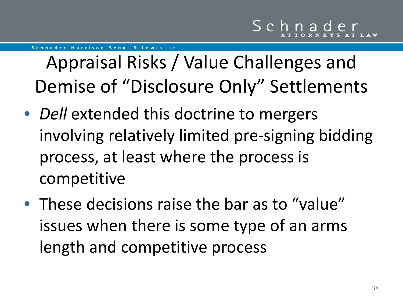Appraisal Risks / Value Challenges and Demise of "Disclosure Only" Settlements

- *Dell* extended this doctrine to mergers involving relatively limited pre-signing bidding process, at least where the process is competitive
- These decisions raise the bar as to "value" issues when there is some type of an arms length and competitive process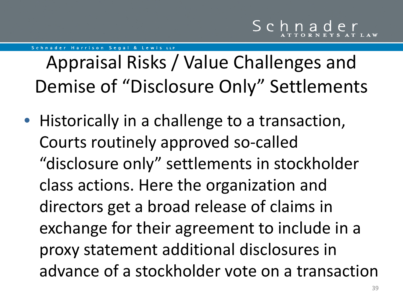Appraisal Risks / Value Challenges and Demise of "Disclosure Only" Settlements

• Historically in a challenge to a transaction, Courts routinely approved so-called "disclosure only" settlements in stockholder class actions. Here the organization and directors get a broad release of claims in exchange for their agreement to include in a proxy statement additional disclosures in advance of a stockholder vote on a transaction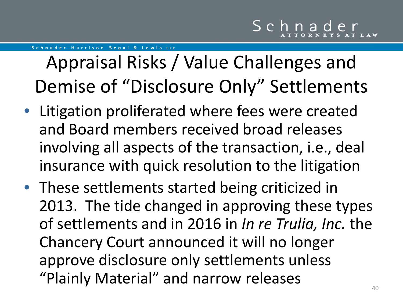## Appraisal Risks / Value Challenges and Demise of "Disclosure Only" Settlements

- Litigation proliferated where fees were created and Board members received broad releases involving all aspects of the transaction, i.e., deal insurance with quick resolution to the litigation
- These settlements started being criticized in 2013. The tide changed in approving these types of settlements and in 2016 in *In re Trulia, Inc.* the Chancery Court announced it will no longer approve disclosure only settlements unless "Plainly Material" and narrow releases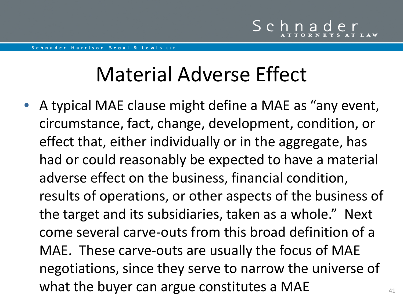## Material Adverse Effect

• A typical MAE clause might define a MAE as "any event, circumstance, fact, change, development, condition, or effect that, either individually or in the aggregate, has had or could reasonably be expected to have a material adverse effect on the business, financial condition, results of operations, or other aspects of the business of the target and its subsidiaries, taken as a whole." Next come several carve-outs from this broad definition of a MAE. These carve-outs are usually the focus of MAE negotiations, since they serve to narrow the universe of what the buyer can argue constitutes a MAE  $\frac{41}{41}$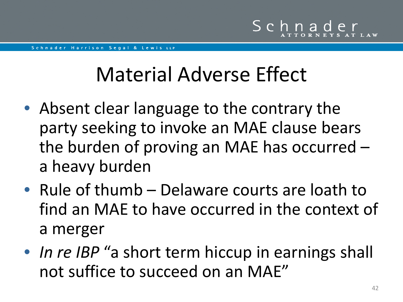## Material Adverse Effect

- Absent clear language to the contrary the party seeking to invoke an MAE clause bears the burden of proving an MAE has occurred – a heavy burden
- Rule of thumb Delaware courts are loath to find an MAE to have occurred in the context of a merger
- *In re IBP* "a short term hiccup in earnings shall not suffice to succeed on an MAE"